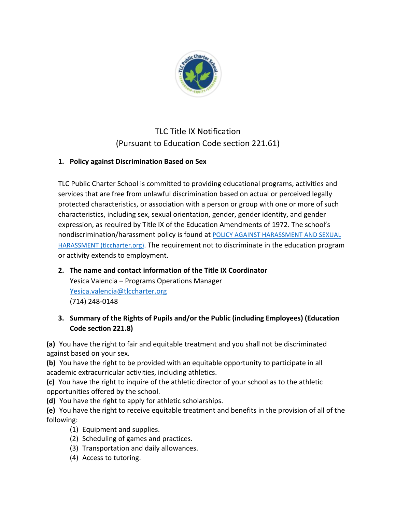

# TLC Title IX Notification (Pursuant to Education Code section 221.61)

### 1. Policy against Discrimination Based on Sex

TLC Public Charter School is committed to providing educational programs, activities and services that are free from unlawful discrimination based on actual or perceived legally protected characteristics, or association with a person or group with one or more of such characteristics, including sex, sexual orientation, gender, gender identity, and gender expression, as required by Title IX of the Education Amendments of 1972. The school's nondiscrimination/harassment policy is found at POLICY AGAINST HARASSMENT AND SEXUAL HARASSMENT (tlccharter.org). The requirement not to discriminate in the education program or activity extends to employment.

- **2.** The name and contact information of the Title IX Coordinator Yesica Valencia – Programs Operations Manager Yesica.valencia@tlccharter.org (714) 248-0148
- **3. Summary of the Rights of Pupils and/or the Public (including Employees) (Education Code section 221.8)**

**(a)** You have the right to fair and equitable treatment and you shall not be discriminated against based on your sex.

**(b)** You have the right to be provided with an equitable opportunity to participate in all academic extracurricular activities, including athletics.

**(c)** You have the right to inquire of the athletic director of your school as to the athletic opportunities offered by the school.

**(d)** You have the right to apply for athletic scholarships.

**(e)** You have the right to receive equitable treatment and benefits in the provision of all of the following:

- (1) Equipment and supplies.
- (2) Scheduling of games and practices.
- (3) Transportation and daily allowances.
- (4) Access to tutoring.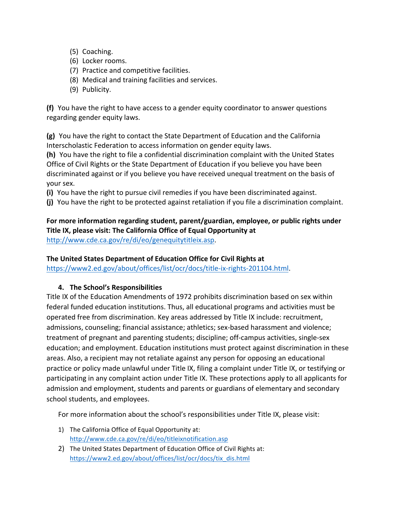- (5) Coaching.
- (6) Locker rooms.
- (7) Practice and competitive facilities.
- (8) Medical and training facilities and services.
- (9) Publicity.

**(f)** You have the right to have access to a gender equity coordinator to answer questions regarding gender equity laws.

**(g)** You have the right to contact the State Department of Education and the California Interscholastic Federation to access information on gender equity laws.

**(h)** You have the right to file a confidential discrimination complaint with the United States Office of Civil Rights or the State Department of Education if you believe you have been discriminated against or if you believe you have received unequal treatment on the basis of your sex.

**(i)** You have the right to pursue civil remedies if you have been discriminated against.

(j) You have the right to be protected against retaliation if you file a discrimination complaint.

For more information regarding student, parent/guardian, employee, or public rights under Title IX, please visit: The California Office of Equal Opportunity at http://www.cde.ca.gov/re/di/eo/genequitytitleix.asp.

#### The United States Department of Education Office for Civil Rights at

https://www2.ed.gov/about/offices/list/ocr/docs/title-ix-rights-201104.html.

#### **4.** The School's Responsibilities

Title IX of the Education Amendments of 1972 prohibits discrimination based on sex within federal funded education institutions. Thus, all educational programs and activities must be operated free from discrimination. Key areas addressed by Title IX include: recruitment, admissions, counseling; financial assistance; athletics; sex-based harassment and violence; treatment of pregnant and parenting students; discipline; off-campus activities, single-sex education; and employment. Education institutions must protect against discrimination in these areas. Also, a recipient may not retaliate against any person for opposing an educational practice or policy made unlawful under Title IX, filing a complaint under Title IX, or testifying or participating in any complaint action under Title IX. These protections apply to all applicants for admission and employment, students and parents or guardians of elementary and secondary school students, and employees.

For more information about the school's responsibilities under Title IX, please visit:

- 1) The California Office of Equal Opportunity at: http://www.cde.ca.gov/re/di/eo/titleixnotification.asp
- 2) The United States Department of Education Office of Civil Rights at: https://www2.ed.gov/about/offices/list/ocr/docs/tix\_dis.html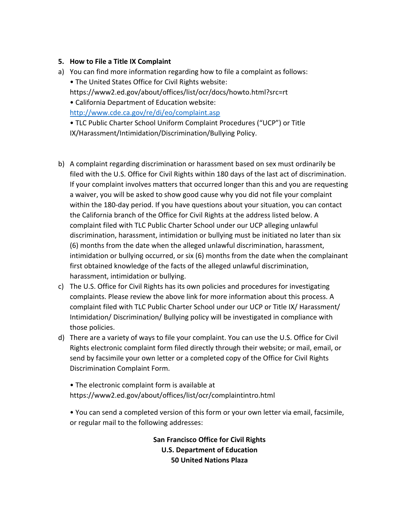#### **5.** How to File a Title IX Complaint

a) You can find more information regarding how to file a complaint as follows: • The United States Office for Civil Rights website: https://www2.ed.gov/about/offices/list/ocr/docs/howto.html?src=rt

• California Department of Education website:

http://www.cde.ca.gov/re/di/eo/complaint.asp

• TLC Public Charter School Uniform Complaint Procedures ("UCP") or Title IX/Harassment/Intimidation/Discrimination/Bullying Policy.

- b) A complaint regarding discrimination or harassment based on sex must ordinarily be filed with the U.S. Office for Civil Rights within 180 days of the last act of discrimination. If your complaint involves matters that occurred longer than this and you are requesting a waiver, you will be asked to show good cause why you did not file your complaint within the 180-day period. If you have questions about your situation, you can contact the California branch of the Office for Civil Rights at the address listed below. A complaint filed with TLC Public Charter School under our UCP alleging unlawful discrimination, harassment, intimidation or bullying must be initiated no later than six (6) months from the date when the alleged unlawful discrimination, harassment, intimidation or bullying occurred, or six (6) months from the date when the complainant first obtained knowledge of the facts of the alleged unlawful discrimination, harassment, intimidation or bullying.
- c) The U.S. Office for Civil Rights has its own policies and procedures for investigating complaints. Please review the above link for more information about this process. A complaint filed with TLC Public Charter School under our UCP or Title IX/ Harassment/ Intimidation/ Discrimination/ Bullying policy will be investigated in compliance with those policies.
- d) There are a variety of ways to file your complaint. You can use the U.S. Office for Civil Rights electronic complaint form filed directly through their website; or mail, email, or send by facsimile your own letter or a completed copy of the Office for Civil Rights Discrimination Complaint Form.

• The electronic complaint form is available at https://www2.ed.gov/about/offices/list/ocr/complaintintro.html 

• You can send a completed version of this form or your own letter via email, facsimile, or regular mail to the following addresses:

> **San Francisco Office for Civil Rights U.S. Department of Education 50 United Nations Plaza**